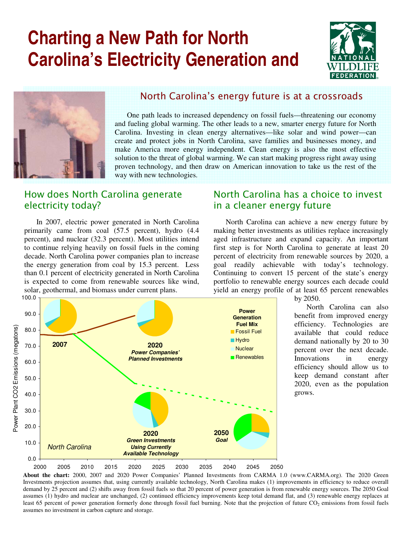# **Charting a New Path for North Carolina's Electricity Generation and**





### North Carolina's energy future is at a crossroads

One path leads to increased dependency on fossil fuels—threatening our economy and fueling global warming. The other leads to a new, smarter energy future for North Carolina. Investing in clean energy alternatives—like solar and wind power—can create and protect jobs in North Carolina, save families and businesses money, and make America more energy independent. Clean energy is also the most effective solution to the threat of global warming. We can start making progress right away using proven technology, and then draw on American innovation to take us the rest of the way with new technologies.

## How does North Carolina generate electricity today?

In 2007, electric power generated in North Carolina primarily came from coal (57.5 percent), hydro (4.4 percent), and nuclear (32.3 percent). Most utilities intend to continue relying heavily on fossil fuels in the coming decade. North Carolina power companies plan to increase the energy generation from coal by 15.3 percent. Less than 0.1 percent of electricity generated in North Carolina is expected to come from renewable sources like wind, solar, geothermal, and biomass under current plans.

### North Carolina has a choice to invest in a cleaner energy future

North Carolina can achieve a new energy future by making better investments as utilities replace increasingly aged infrastructure and expand capacity. An important first step is for North Carolina to generate at least 20 percent of electricity from renewable sources by 2020, a goal readily achievable with today's technology. Continuing to convert 15 percent of the state's energy portfolio to renewable energy sources each decade could yield an energy profile of at least 65 percent renewables





by 2050.

North Carolina can also benefit from improved energy efficiency. Technologies are available that could reduce demand nationally by 20 to 30 percent over the next decade. Innovations in energy efficiency should allow us to keep demand constant after 2020, even as the population grows.

least 65 percent of power generation formerly done through fossil fuel burning. Note that the projection of future CO<sub>2</sub> emissions from fossil fuels **About the chart:** 2000, 2007 and 2020 Power Companies' Planned Investments from CARMA 1.0 (www.CARMA.org). The 2020 Green Investments projection assumes that, using currently available technology, North Carolina makes (1) improvements in efficiency to reduce overall demand by 25 percent and (2) shifts away from fossil fuels so that 20 percent of power generation is from renewable energy sources. The 2050 Goal assumes (1) hydro and nuclear are unchanged, (2) continued efficiency improvements keep total demand flat, and (3) renewable energy replaces at assumes no investment in carbon capture and storage.